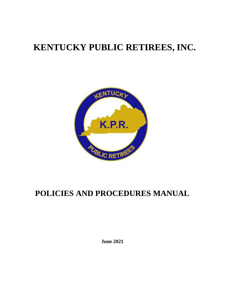## **KENTUCKY PUBLIC RETIREES, INC.**



## **POLICIES AND PROCEDURES MANUAL**

**June 2021**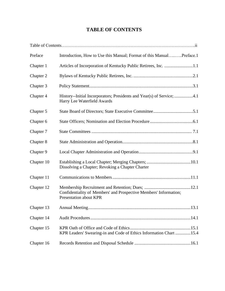## **TABLE OF CONTENTS**

| Preface    | Introduction, How to Use this Manual; Format of this ManualPreface.1                                  |
|------------|-------------------------------------------------------------------------------------------------------|
| Chapter 1  | Articles of Incorporation of Kentucky Public Retirees, Inc. 1.1                                       |
| Chapter 2  |                                                                                                       |
| Chapter 3  |                                                                                                       |
| Chapter 4  | History--Initial Incorporators; Presidents and Year(s) of Service; 4.1<br>Harry Lee Waterfield Awards |
| Chapter 5  |                                                                                                       |
| Chapter 6  |                                                                                                       |
| Chapter 7  |                                                                                                       |
| Chapter 8  |                                                                                                       |
| Chapter 9  |                                                                                                       |
| Chapter 10 | Dissolving a Chapter; Revoking a Chapter Charter                                                      |
| Chapter 11 |                                                                                                       |
| Chapter 12 | Confidentiality of Members' and Prospective Members' Information;<br>Presentation about KPR           |
|            |                                                                                                       |
| Chapter 14 |                                                                                                       |
| Chapter 15 | KPR Leaders' Swearing-in and Code of Ethics Information Chart 15.4                                    |
| Chapter 16 |                                                                                                       |